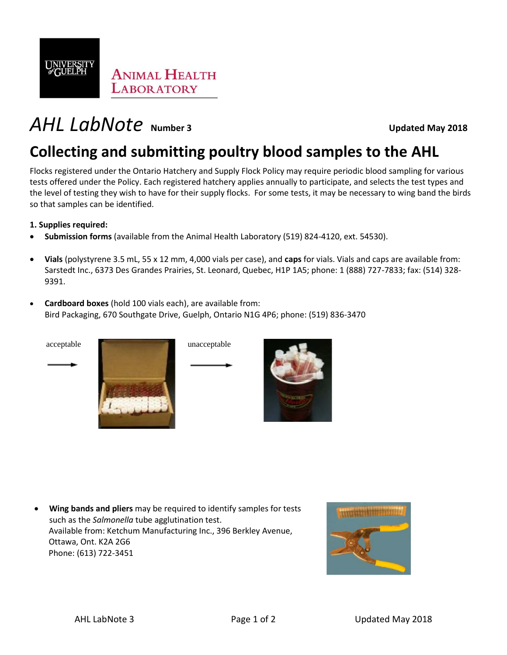

# *AHL LabNote* **Number 3 Updated May 2018**

## **Collecting and submitting poultry blood samples to the AHL**

Flocks registered under the Ontario Hatchery and Supply Flock Policy may require periodic blood sampling for various tests offered under the Policy. Each registered hatchery applies annually to participate, and selects the test types and the level of testing they wish to have for their supply flocks. For some tests, it may be necessary to wing band the birds so that samples can be identified.

**1. Supplies required:** 

- **Submission forms** (available from the Animal Health Laboratory (519) 824-4120, ext. 54530).
- **Vials** (polystyrene 3.5 mL, 55 x 12 mm, 4,000 vials per case), and **caps** for vials. Vials and caps are available from: Sarstedt Inc., 6373 Des Grandes Prairies, St. Leonard, Quebec, H1P 1A5; phone: 1 (888) 727-7833; fax: (514) 328- 9391.
- **Cardboard boxes** (hold 100 vials each), are available from: Bird Packaging, 670 Southgate Drive, Guelph, Ontario N1G 4P6; phone: (519) 836-3470





• **Wing bands and pliers** may be required to identify samples for tests such as the *Salmonella* tube agglutination test. Available from: Ketchum Manufacturing Inc., 396 Berkley Avenue, Ottawa, Ont. K2A 2G6 Phone: (613) 722-3451